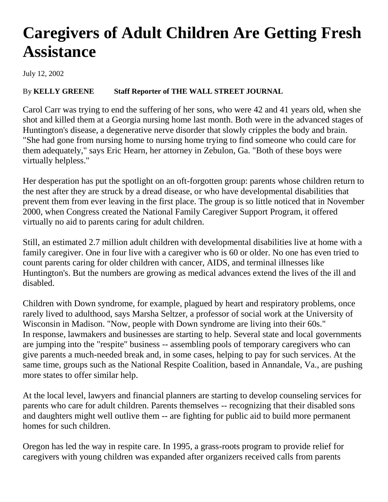## **Caregivers of Adult Children Are Getting Fresh Assistance**

July 12, 2002

## By **KELLY GREENE Staff Reporter of THE WALL STREET JOURNAL**

Carol Carr was trying to end the suffering of her sons, who were 42 and 41 years old, when she shot and killed them at a Georgia nursing home last month. Both were in the advanced stages of Huntington's disease, a degenerative nerve disorder that slowly cripples the body and brain. "She had gone from nursing home to nursing home trying to find someone who could care for them adequately," says Eric Hearn, her attorney in Zebulon, Ga. "Both of these boys were virtually helpless."

Her desperation has put the spotlight on an oft-forgotten group: parents whose children return to the nest after they are struck by a dread disease, or who have developmental disabilities that prevent them from ever leaving in the first place. The group is so little noticed that in November 2000, when Congress created the National Family Caregiver Support Program, it offered virtually no aid to parents caring for adult children.

Still, an estimated 2.7 million adult children with developmental disabilities live at home with a family caregiver. One in four live with a caregiver who is 60 or older. No one has even tried to count parents caring for older children with cancer, AIDS, and terminal illnesses like Huntington's. But the numbers are growing as medical advances extend the lives of the ill and disabled.

Children with Down syndrome, for example, plagued by heart and respiratory problems, once rarely lived to adulthood, says Marsha Seltzer, a professor of social work at the University of Wisconsin in Madison. "Now, people with Down syndrome are living into their 60s." In response, lawmakers and businesses are starting to help. Several state and local governments are jumping into the "respite" business -- assembling pools of temporary caregivers who can give parents a much-needed break and, in some cases, helping to pay for such services. At the same time, groups such as the National Respite Coalition, based in Annandale, Va., are pushing more states to offer similar help.

At the local level, lawyers and financial planners are starting to develop counseling services for parents who care for adult children. Parents themselves -- recognizing that their disabled sons and daughters might well outlive them -- are fighting for public aid to build more permanent homes for such children.

Oregon has led the way in respite care. In 1995, a grass-roots program to provide relief for caregivers with young children was expanded after organizers received calls from parents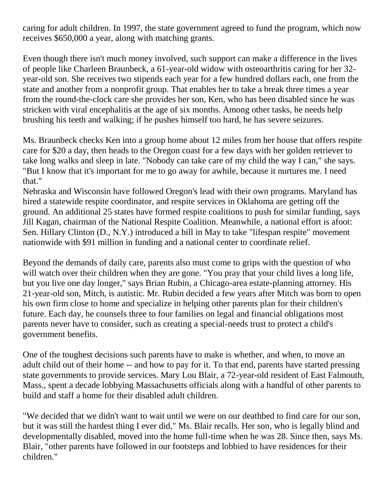caring for adult children. In 1997, the state government agreed to fund the program, which now receives \$650,000 a year, along with matching grants.

Even though there isn't much money involved, such support can make a difference in the lives of people like Charleen Braunbeck, a 61-year-old widow with osteoarthritis caring for her 32 year-old son. She receives two stipends each year for a few hundred dollars each, one from the state and another from a nonprofit group. That enables her to take a break three times a year from the round-the-clock care she provides her son, Ken, who has been disabled since he was stricken with viral encephalitis at the age of six months. Among other tasks, he needs help brushing his teeth and walking; if he pushes himself too hard, he has severe seizures.

Ms. Braunbeck checks Ken into a group home about 12 miles from her house that offers respite care for \$20 a day, then heads to the Oregon coast for a few days with her golden retriever to take long walks and sleep in late. "Nobody can take care of my child the way I can," she says. "But I know that it's important for me to go away for awhile, because it nurtures me. I need that."

Nebraska and Wisconsin have followed Oregon's lead with their own programs. Maryland has hired a statewide respite coordinator, and respite services in Oklahoma are getting off the ground. An additional 25 states have formed respite coalitions to push for similar funding, says Jill Kagan, chairman of the National Respite Coalition. Meanwhile, a national effort is afoot: Sen. Hillary Clinton (D., N.Y.) introduced a bill in May to take "lifespan respite" movement nationwide with \$91 million in funding and a national center to coordinate relief.

Beyond the demands of daily care, parents also must come to grips with the question of who will watch over their children when they are gone. "You pray that your child lives a long life, but you live one day longer," says Brian Rubin, a Chicago-area estate-planning attorney. His 21-year-old son, Mitch, is autistic. Mr. Rubin decided a few years after Mitch was born to open his own firm close to home and specialize in helping other parents plan for their children's future. Each day, he counsels three to four families on legal and financial obligations most parents never have to consider, such as creating a special-needs trust to protect a child's government benefits.

One of the toughest decisions such parents have to make is whether, and when, to move an adult child out of their home -- and how to pay for it. To that end, parents have started pressing state governments to provide services. Mary Lou Blair, a 72-year-old resident of East Falmouth, Mass., spent a decade lobbying Massachusetts officials along with a handful of other parents to build and staff a home for their disabled adult children.

"We decided that we didn't want to wait until we were on our deathbed to find care for our son, but it was still the hardest thing I ever did," Ms. Blair recalls. Her son, who is legally blind and developmentally disabled, moved into the home full-time when he was 28. Since then, says Ms. Blair, "other parents have followed in our footsteps and lobbied to have residences for their children."